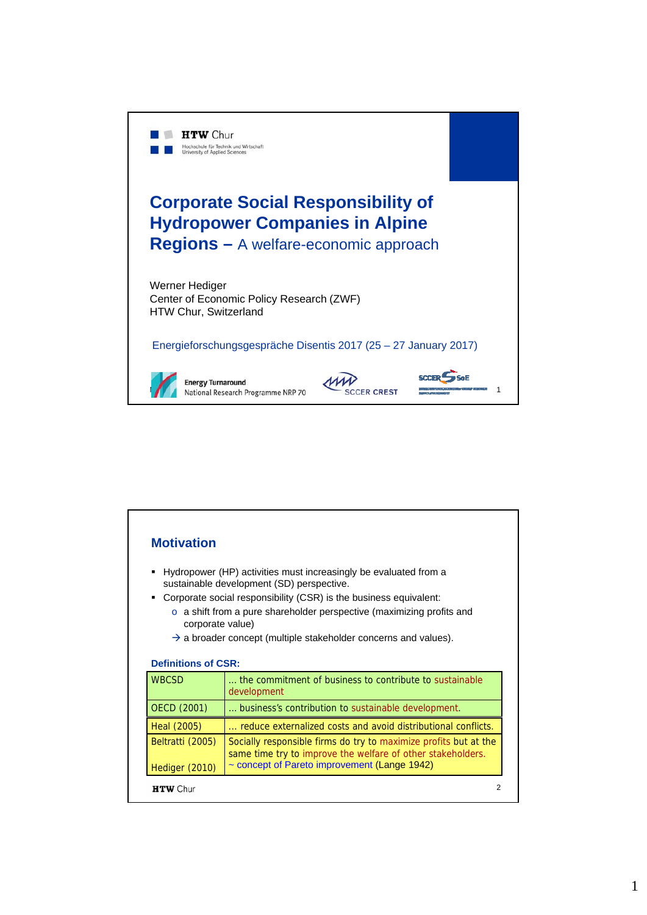

| <b>Motivation</b>          |                                                                                                                                 |
|----------------------------|---------------------------------------------------------------------------------------------------------------------------------|
| ٠                          | Hydropower (HP) activities must increasingly be evaluated from a<br>sustainable development (SD) perspective.                   |
| ٠                          | Corporate social responsibility (CSR) is the business equivalent:                                                               |
| corporate value)           | $\circ$ a shift from a pure shareholder perspective (maximizing profits and                                                     |
|                            | $\rightarrow$ a broader concept (multiple stakeholder concerns and values).                                                     |
|                            |                                                                                                                                 |
| <b>Definitions of CSR:</b> |                                                                                                                                 |
|                            |                                                                                                                                 |
| <b>WBCSD</b>               | the commitment of business to contribute to sustainable<br>development                                                          |
| <b>OECD (2001)</b>         | business's contribution to sustainable development.                                                                             |
| Heal (2005)                | reduce externalized costs and avoid distributional conflicts.                                                                   |
| Beltratti (2005)           | Socially responsible firms do try to maximize profits but at the<br>same time try to improve the welfare of other stakeholders. |
| Hediger (2010)             | ~ concept of Pareto improvement (Lange 1942)                                                                                    |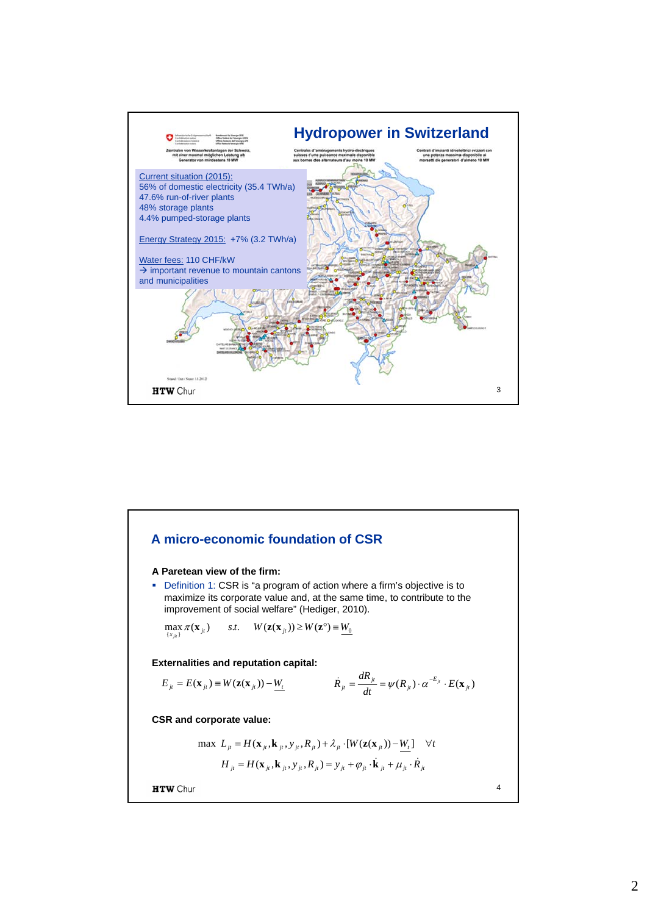

## **A micro-economic foundation of CSR A Paretean view of the firm:** Definition 1: CSR is "a program of action where a firm's objective is to maximize its corporate value and, at the same time, to contribute to the improvement of social welfare" (Hediger, 2010).  $\max_{\{x_{ji}\}} \pi(\mathbf{x}_{ji})$  *s.t.*  $W(\mathbf{z}(\mathbf{x}_{ji})) \geq W(\mathbf{z}^{\circ}) \equiv \underline{W_0}$ **Externalities and reputation capital:**  $\dot{R}_{it} = \frac{dR_{jt}}{dt} = \psi(R_{it}) \cdot \alpha^{-E_{jt}} \cdot E(\mathbf{x})$  $E_{ji} = E(\mathbf{x}_{ji}) \equiv W(\mathbf{z}(\mathbf{x}_{ji})) - \frac{W_t}{h}$  *i*t<br> *k*<sub>jt</sub> =  $\frac{d\mathbf{x}_{ji}}{dt} = \psi(R_{ji}) \cdot \alpha^{-E_{ji}} \cdot E(\mathbf{x}_{ji})$ **CSR and corporate value:**  $\max L_{it} = H(\mathbf{x}_{it}, \mathbf{k}_{it}, y_{it}, R_{it}) + \lambda_{it} \cdot [W(\mathbf{z}(\mathbf{x}_{it})) - W_{t}]$   $\forall t$  $H_{it} = H(\mathbf{x}_{it}, \mathbf{k}_{it}, y_{it}, R_{it}) = y_{it} + \varphi_{it} \cdot \dot{\mathbf{k}}_{it} + \mu_{it} \cdot \dot{R}_{it}$ **HTW** Chur 4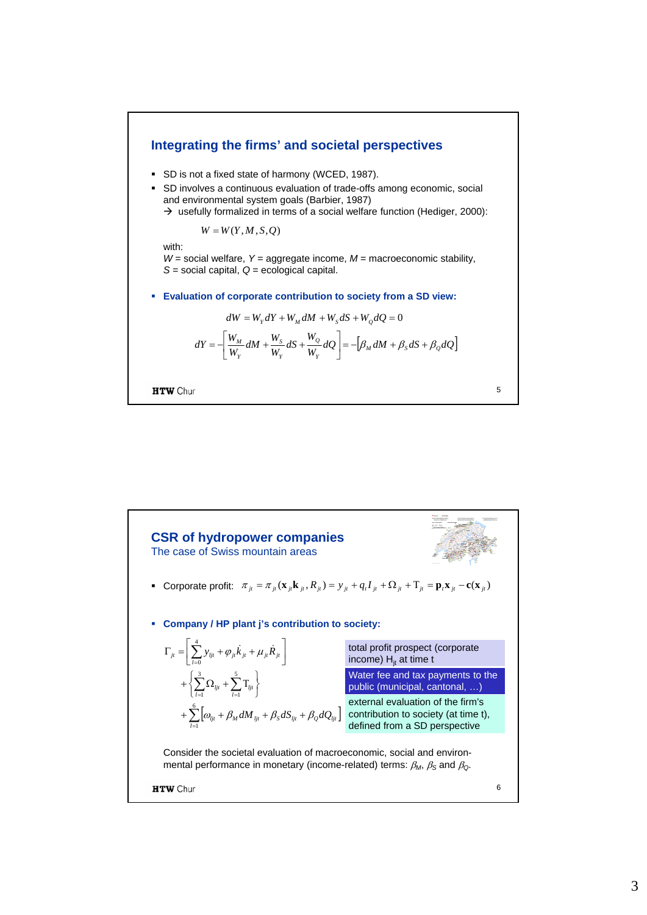

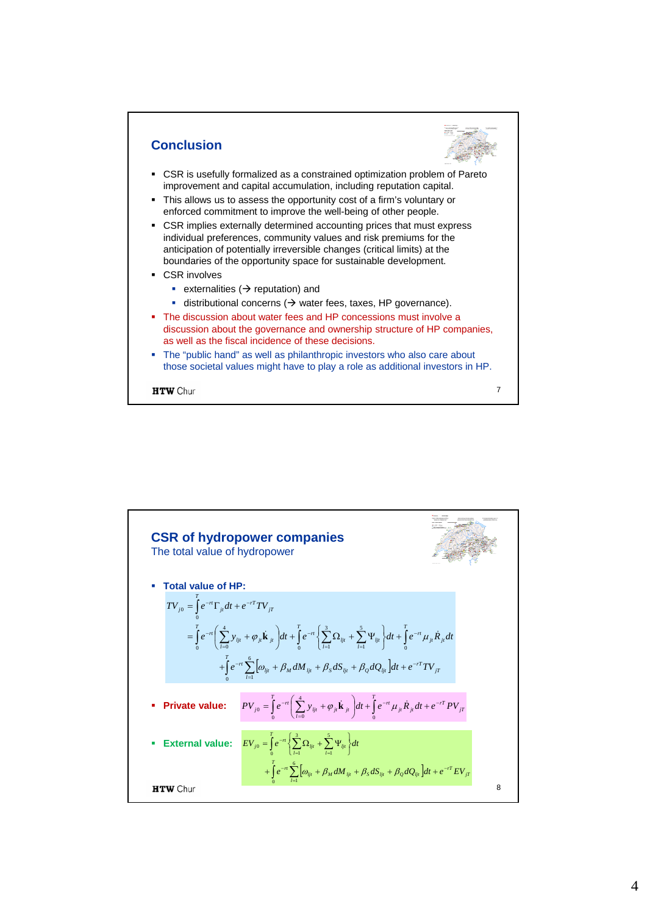